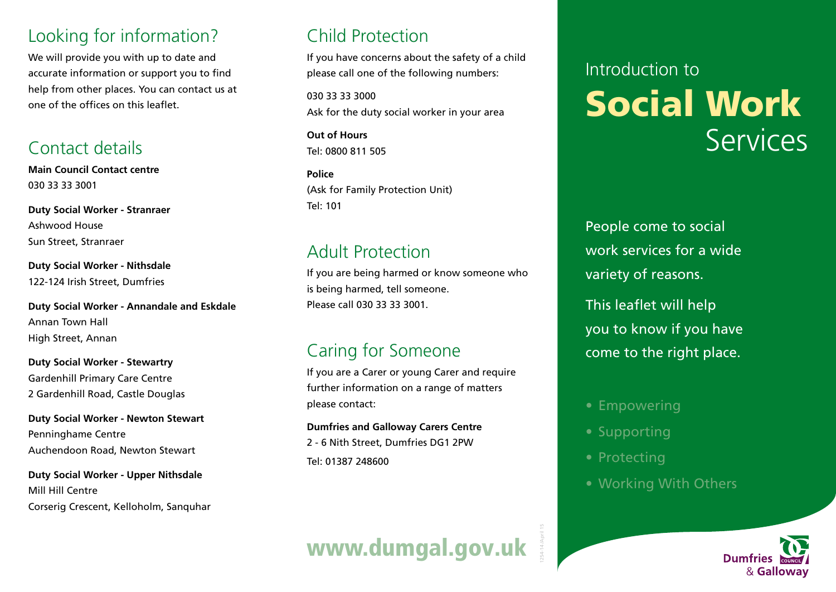## Looking for information?

We will provide you with up to date and accurate information or support you to find help from other places. You can contact us at one of the offices on this leaflet.

## Contact details

**Main Council Contact centre** 030 33 33 3001

**Duty Social Worker - Stranraer** Ashwood House Sun Street, Stranraer

**Duty Social Worker - Nithsdale** 122-124 Irish Street, Dumfries

**Duty Social Worker - Annandale and Eskdale** Annan Town Hall High Street, Annan

**Duty Social Worker - Stewartry** Gardenhill Primary Care Centre 2 Gardenhill Road, Castle Douglas

**Duty Social Worker - Newton Stewart** Penninghame Centre Auchendoon Road, Newton Stewart

**Duty Social Worker - Upper Nithsdale** Mill Hill Centre Corserig Crescent, Kelloholm, Sanquhar

# Child Protection

If you have concerns about the safety of a child please call one of the following numbers:

030 33 33 3000 Ask for the duty social worker in your area

**Out of Hours** Tel: 0800 811 505

**Police** (Ask for Family Protection Unit) Tel: 101

## Adult Protection

If you are being harmed or know someone who is being harmed, tell someone. Please call 030 33 33 3001.

## Caring for Someone

If you are a Carer or young Carer and require further information on a range of matters please contact:

**Dumfries and Galloway Carers Centre** 2 - 6 Nith Street, Dumfries DG1 2PW Tel: 01387 248600

# Introduction to Social Work Services

People come to social work services for a wide variety of reasons.

This leaflet will help you to know if you have come to the right place.

- Empowering
- Supporting
- Protecting

1254-14 /April 15

• Working With Others

www.dumgal.gov.uk